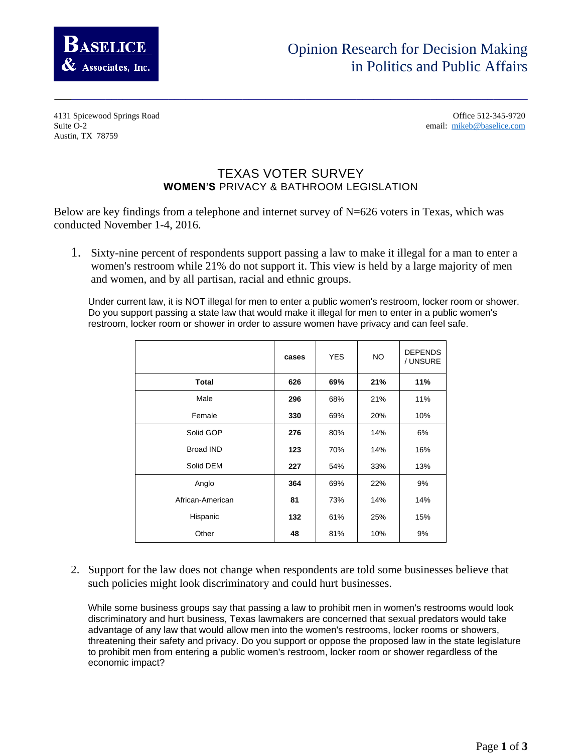

## Opinion Research for Decision Making in Politics and Public Affairs

4131 Spicewood Springs Road Office 512-345-9720 Suite O-2 email: [mikeb@baselice.com](mailto:mikeb@baselice.com) Austin, TX 78759

## TEXAS VOTER SURVEY WOMEN'S PRIVACY & BATHROOM LEGISLATION

\_\_\_\_\_\_\_\_\_\_\_\_\_\_\_\_\_\_\_\_\_\_\_\_\_\_\_\_\_\_\_\_\_\_\_\_\_\_\_\_\_\_\_\_\_\_\_\_\_\_\_\_\_\_\_\_\_\_\_\_\_\_\_\_\_\_\_\_\_\_\_\_\_\_\_\_\_\_\_\_\_\_\_

Below are key findings from a telephone and internet survey of N=626 voters in Texas, which was conducted November 1-4, 2016.

1. Sixty-nine percent of respondents support passing a law to make it illegal for a man to enter a women's restroom while 21% do not support it. This view is held by a large majority of men and women, and by all partisan, racial and ethnic groups.

Under current law, it is NOT illegal for men to enter a public women's restroom, locker room or shower. Do you support passing a state law that would make it illegal for men to enter in a public women's restroom, locker room or shower in order to assure women have privacy and can feel safe.

|                  | cases | <b>YES</b> | <b>NO</b> | <b>DEPENDS</b><br>/ UNSURE |
|------------------|-------|------------|-----------|----------------------------|
| <b>Total</b>     | 626   | 69%        | 21%       | 11%                        |
| Male             | 296   | 68%        | 21%       | 11%                        |
| Female           | 330   | 69%        | 20%       | 10%                        |
| Solid GOP        | 276   | 80%        | 14%       | 6%                         |
| Broad IND        | 123   | 70%        | 14%       | 16%                        |
| Solid DEM        | 227   | 54%        | 33%       | 13%                        |
| Anglo            | 364   | 69%        | 22%       | 9%                         |
| African-American | 81    | 73%        | 14%       | 14%                        |
| Hispanic         | 132   | 61%        | 25%       | 15%                        |
| Other            | 48    | 81%        | 10%       | 9%                         |

2. Support for the law does not change when respondents are told some businesses believe that such policies might look discriminatory and could hurt businesses.

While some business groups say that passing a law to prohibit men in women's restrooms would look discriminatory and hurt business, Texas lawmakers are concerned that sexual predators would take advantage of any law that would allow men into the women's restrooms, locker rooms or showers, threatening their safety and privacy. Do you support or oppose the proposed law in the state legislature to prohibit men from entering a public women's restroom, locker room or shower regardless of the economic impact?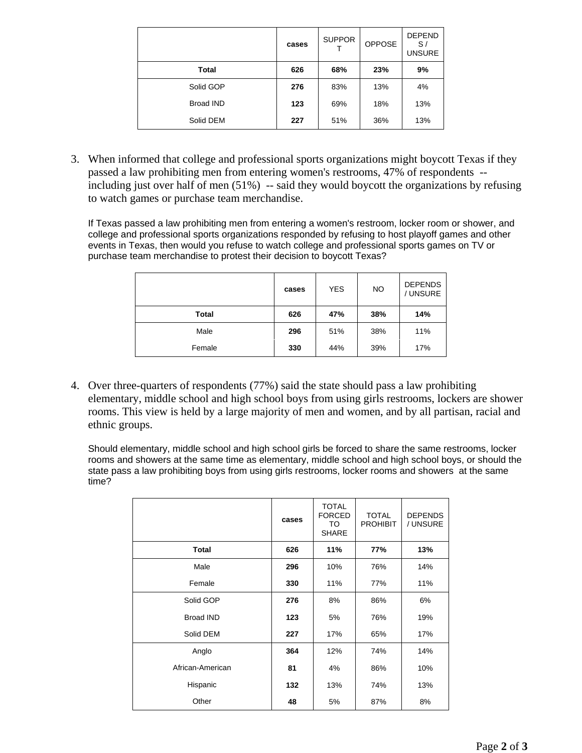|                  | cases | <b>SUPPOR</b> | OPPOSE | <b>DEPEND</b><br>S/<br><b>UNSURE</b> |
|------------------|-------|---------------|--------|--------------------------------------|
| Total            | 626   | 68%           | 23%    | 9%                                   |
| Solid GOP        | 276   | 83%           | 13%    | 4%                                   |
| <b>Broad IND</b> | 123   | 69%           | 18%    | 13%                                  |
| Solid DEM        | 227   | 51%           | 36%    | 13%                                  |

3. When informed that college and professional sports organizations might boycott Texas if they passed a law prohibiting men from entering women's restrooms, 47% of respondents - including just over half of men (51%) -- said they would boycott the organizations by refusing to watch games or purchase team merchandise.

If Texas passed a law prohibiting men from entering a women's restroom, locker room or shower, and college and professional sports organizations responded by refusing to host playoff games and other events in Texas, then would you refuse to watch college and professional sports games on TV or purchase team merchandise to protest their decision to boycott Texas?

|              | cases | <b>YES</b> | <b>NO</b> | <b>DEPENDS</b><br>/ UNSURE |
|--------------|-------|------------|-----------|----------------------------|
| <b>Total</b> | 626   | 47%        | 38%       | 14%                        |
| Male         | 296   | 51%        | 38%       | 11%                        |
| Female       | 330   | 44%        | 39%       | 17%                        |

4. Over three-quarters of respondents (77%) said the state should pass a law prohibiting elementary, middle school and high school boys from using girls restrooms, lockers are shower rooms. This view is held by a large majority of men and women, and by all partisan, racial and ethnic groups.

Should elementary, middle school and high school girls be forced to share the same restrooms, locker rooms and showers at the same time as elementary, middle school and high school boys, or should the state pass a law prohibiting boys from using girls restrooms, locker rooms and showers at the same time?

|                  | cases | <b>TOTAL</b><br><b>FORCED</b><br>TO<br><b>SHARE</b> | <b>TOTAL</b><br><b>PROHIBIT</b> | <b>DEPENDS</b><br>/ UNSURE |
|------------------|-------|-----------------------------------------------------|---------------------------------|----------------------------|
| <b>Total</b>     | 626   | 11%                                                 | 77%                             | 13%                        |
| Male             | 296   | 10%                                                 | 76%                             | 14%                        |
| Female           | 330   | 11%                                                 | 77%                             | 11%                        |
| Solid GOP        | 276   | 8%                                                  | 86%                             | 6%                         |
| <b>Broad IND</b> | 123   | 5%                                                  | 76%                             | 19%                        |
| Solid DEM        | 227   | 17%                                                 | 65%                             | 17%                        |
| Anglo            | 364   | 12%                                                 | 74%                             | 14%                        |
| African-American | 81    | 4%                                                  | 86%                             | 10%                        |
| Hispanic         | 132   | 13%                                                 | 74%                             | 13%                        |
| Other            | 48    | 5%                                                  | 87%                             | 8%                         |